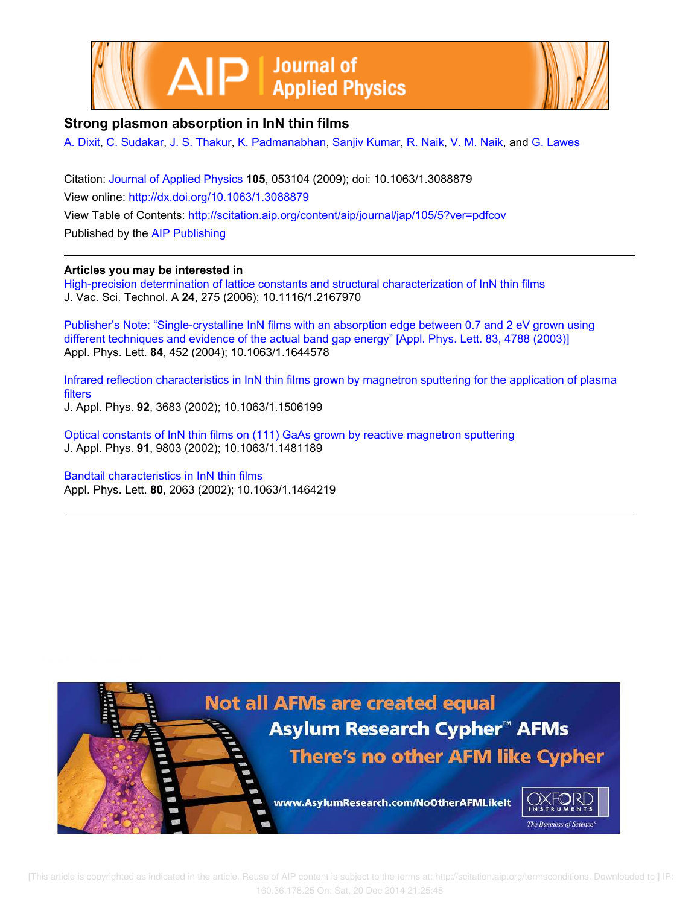



## **Strong plasmon absorption in InN thin films**

A. Dixit, C. Sudakar, J. S. Thakur, K. Padmanabhan, Sanjiv Kumar, R. Naik, V. M. Naik, and G. Lawes

Citation: Journal of Applied Physics **105**, 053104 (2009); doi: 10.1063/1.3088879 View online: http://dx.doi.org/10.1063/1.3088879 View Table of Contents: http://scitation.aip.org/content/aip/journal/jap/105/5?ver=pdfcov Published by the AIP Publishing

## **Articles you may be interested in**

High-precision determination of lattice constants and structural characterization of InN thin films J. Vac. Sci. Technol. A **24**, 275 (2006); 10.1116/1.2167970

Publisher's Note: "Single-crystalline InN films with an absorption edge between 0.7 and 2 eV grown using different techniques and evidence of the actual band gap energy" [Appl. Phys. Lett. 83, 4788 (2003)] Appl. Phys. Lett. **84**, 452 (2004); 10.1063/1.1644578

Infrared reflection characteristics in InN thin films grown by magnetron sputtering for the application of plasma filters

J. Appl. Phys. **92**, 3683 (2002); 10.1063/1.1506199

Optical constants of InN thin films on (111) GaAs grown by reactive magnetron sputtering J. Appl. Phys. **91**, 9803 (2002); 10.1063/1.1481189

Bandtail characteristics in InN thin films Appl. Phys. Lett. **80**, 2063 (2002); 10.1063/1.1464219

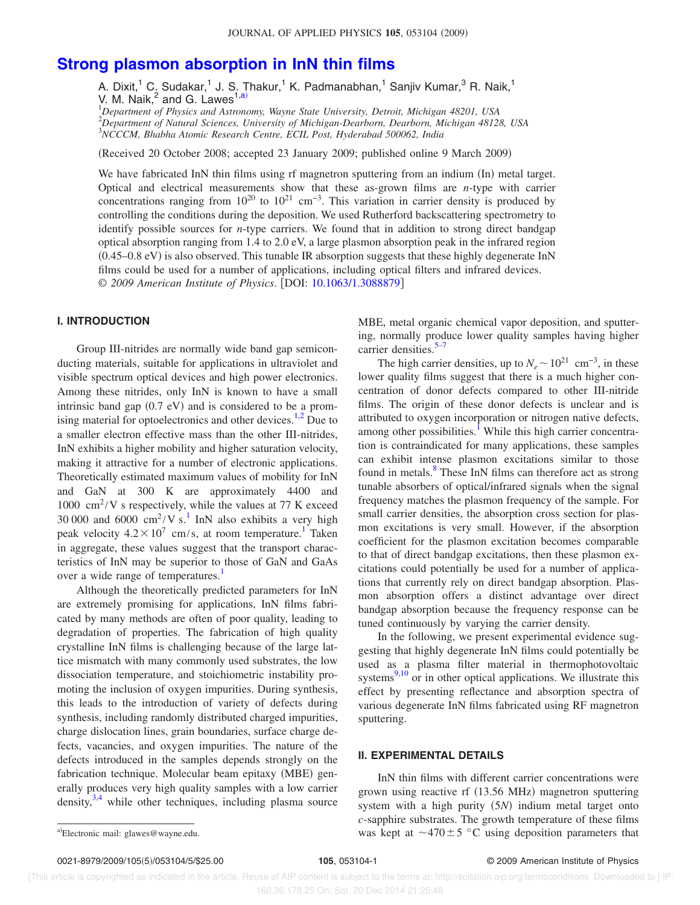# **Strong plasmon absorption in InN thin films**

A. Dixit,<sup>1</sup> C. Sudakar,<sup>1</sup> J. S. Thakur,<sup>1</sup> K. Padmanabhan,<sup>1</sup> Sanjiv Kumar,<sup>3</sup> R. Naik,<sup>1</sup> V. M. Naik, $^2$  and G. Lawes<sup>1,a)</sup>

<sup>1</sup>*Department of Physics and Astronomy, Wayne State University, Detroit, Michigan 48201, USA* <sup>2</sup>*Department of Natural Sciences, University of Michigan-Dearborn, Dearborn, Michigan 48128, USA* <sup>3</sup>*NCCCM, Bhabha Atomic Research Centre, ECIL Post, Hyderabad 500062, India*

Received 20 October 2008; accepted 23 January 2009; published online 9 March 2009-

We have fabricated InN thin films using rf magnetron sputtering from an indium (In) metal target. Optical and electrical measurements show that these as-grown films are *n*-type with carrier concentrations ranging from  $10^{20}$  to  $10^{21}$  cm<sup>-3</sup>. This variation in carrier density is produced by controlling the conditions during the deposition. We used Rutherford backscattering spectrometry to identify possible sources for *n*-type carriers. We found that in addition to strong direct bandgap optical absorption ranging from 1.4 to 2.0 eV, a large plasmon absorption peak in the infrared region  $(0.45-0.8 \text{ eV})$  is also observed. This tunable IR absorption suggests that these highly degenerate InN films could be used for a number of applications, including optical filters and infrared devices. © 2009 American Institute of Physics. [DOI: 10.1063/1.3088879]

## **I. INTRODUCTION**

Group III-nitrides are normally wide band gap semiconducting materials, suitable for applications in ultraviolet and visible spectrum optical devices and high power electronics. Among these nitrides, only InN is known to have a small intrinsic band gap  $(0.7 \text{ eV})$  and is considered to be a promising material for optoelectronics and other devices. $1,2$  Due to a smaller electron effective mass than the other III-nitrides, InN exhibits a higher mobility and higher saturation velocity, making it attractive for a number of electronic applications. Theoretically estimated maximum values of mobility for InN and GaN at 300 K are approximately 4400 and 1000  $\text{cm}^2/\text{V}$  s respectively, while the values at 77 K exceed 30 000 and 6000  $\text{cm}^2/\text{V s}$ .<sup>1</sup> InN also exhibits a very high peak velocity  $4.2 \times 10^7$  cm/s, at room temperature.<sup>1</sup> Taken in aggregate, these values suggest that the transport characteristics of InN may be superior to those of GaN and GaAs over a wide range of temperatures.<sup>1</sup>

Although the theoretically predicted parameters for InN are extremely promising for applications, InN films fabricated by many methods are often of poor quality, leading to degradation of properties. The fabrication of high quality crystalline InN films is challenging because of the large lattice mismatch with many commonly used substrates, the low dissociation temperature, and stoichiometric instability promoting the inclusion of oxygen impurities. During synthesis, this leads to the introduction of variety of defects during synthesis, including randomly distributed charged impurities, charge dislocation lines, grain boundaries, surface charge defects, vacancies, and oxygen impurities. The nature of the defects introduced in the samples depends strongly on the fabrication technique. Molecular beam epitaxy (MBE) generally produces very high quality samples with a low carrier density,  $3,4$  while other techniques, including plasma source

MBE, metal organic chemical vapor deposition, and sputtering, normally produce lower quality samples having higher carrier densities. $5-7$ 

The high carrier densities, up to  $N_e \sim 10^{21}$  cm<sup>-3</sup>, in these lower quality films suggest that there is a much higher concentration of donor defects compared to other III-nitride films. The origin of these donor defects is unclear and is attributed to oxygen incorporation or nitrogen native defects, among other possibilities.<sup>1</sup> While this high carrier concentration is contraindicated for many applications, these samples can exhibit intense plasmon excitations similar to those found in metals.<sup>8</sup> These InN films can therefore act as strong tunable absorbers of optical/infrared signals when the signal frequency matches the plasmon frequency of the sample. For small carrier densities, the absorption cross section for plasmon excitations is very small. However, if the absorption coefficient for the plasmon excitation becomes comparable to that of direct bandgap excitations, then these plasmon excitations could potentially be used for a number of applications that currently rely on direct bandgap absorption. Plasmon absorption offers a distinct advantage over direct bandgap absorption because the frequency response can be tuned continuously by varying the carrier density.

In the following, we present experimental evidence suggesting that highly degenerate InN films could potentially be used as a plasma filter material in thermophotovoltaic systems $9,10$  or in other optical applications. We illustrate this effect by presenting reflectance and absorption spectra of various degenerate InN films fabricated using RF magnetron sputtering.

#### **II. EXPERIMENTAL DETAILS**

InN thin films with different carrier concentrations were grown using reactive rf (13.56 MHz) magnetron sputtering system with a high purity (5*N*) indium metal target onto *c*-sapphire substrates. The growth temperature of these films a) Electronic mail: glawes@wayne.edu. That are set of the set of the set of the set of the set of the set of the set of the set of the set of the set of the set of the set of the set of the set of the set of the set of th

Electronic mail: glawes@wayne.edu.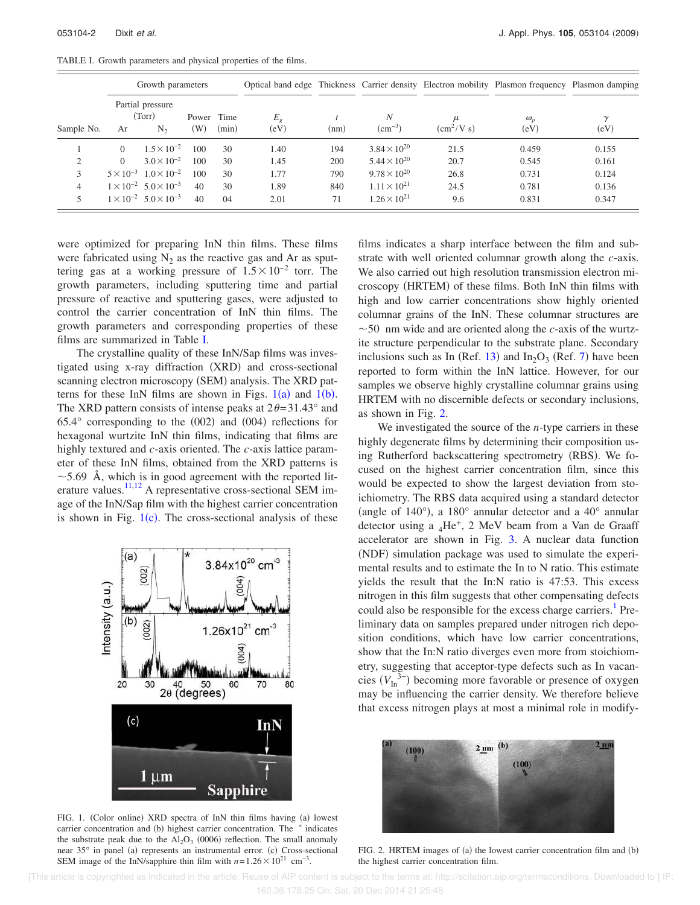TABLE I. Growth parameters and physical properties of the films.

|            | Growth parameters                           |                                         |                         |               |                        |      |                       |                                | Optical band edge Thickness Carrier density Electron mobility Plasmon frequency Plasmon damping |                  |
|------------|---------------------------------------------|-----------------------------------------|-------------------------|---------------|------------------------|------|-----------------------|--------------------------------|-------------------------------------------------------------------------------------------------|------------------|
| Sample No. | Partial pressure<br>(Torr)<br>$N_{2}$<br>Ar |                                         | Power<br>$(\mathrm{W})$ | Time<br>(min) | E <sub>g</sub><br>(eV) | (nm) | N<br>$\rm (cm^{-3})$  | μ<br>$\text{cm}^2/\text{V}$ s) | $\omega_{n}$<br>(eV)                                                                            | $\gamma$<br>(eV) |
|            | $\Omega$                                    | $1.5 \times 10^{-2}$                    | 100                     | 30            | 1.40                   | 194  | $3.84 \times 10^{20}$ | 21.5                           | 0.459                                                                                           | 0.155            |
| 2          | $\Omega$                                    | $3.0 \times 10^{-2}$                    | 100                     | 30            | 1.45                   | 200  | $5.44 \times 10^{20}$ | 20.7                           | 0.545                                                                                           | 0.161            |
| 3          |                                             | $5 \times 10^{-3}$ $1.0 \times 10^{-2}$ | 100                     | 30            | 1.77                   | 790  | $9.78 \times 10^{20}$ | 26.8                           | 0.731                                                                                           | 0.124            |
| 4          |                                             | $1 \times 10^{-2}$ 5.0 $\times 10^{-3}$ | 40                      | 30            | 1.89                   | 840  | $1.11 \times 10^{21}$ | 24.5                           | 0.781                                                                                           | 0.136            |
| 5          |                                             | $1 \times 10^{-2}$ 5.0 $\times 10^{-3}$ | 40                      | 04            | 2.01                   | 71   | $1.26 \times 10^{21}$ | 9.6                            | 0.831                                                                                           | 0.347            |

were optimized for preparing InN thin films. These films were fabricated using  $N_2$  as the reactive gas and Ar as sputtering gas at a working pressure of  $1.5 \times 10^{-2}$  torr. The growth parameters, including sputtering time and partial pressure of reactive and sputtering gases, were adjusted to control the carrier concentration of InN thin films. The growth parameters and corresponding properties of these films are summarized in Table I.

The crystalline quality of these InN/Sap films was investigated using x-ray diffraction (XRD) and cross-sectional scanning electron microscopy (SEM) analysis. The XRD patterns for these InN films are shown in Figs.  $1(a)$  and  $1(b)$ . The XRD pattern consists of intense peaks at  $2\theta = 31.43^\circ$  and  $65.4^{\circ}$  corresponding to the  $(002)$  and  $(004)$  reflections for hexagonal wurtzite InN thin films, indicating that films are highly textured and *c*-axis oriented. The *c*-axis lattice parameter of these InN films, obtained from the XRD patterns is  $\sim$  5.69 Å, which is in good agreement with the reported literature values. $11,12$  A representative cross-sectional SEM image of the InN/Sap film with the highest carrier concentration is shown in Fig.  $1(c)$ . The cross-sectional analysis of these



FIG. 1. (Color online) XRD spectra of InN thin films having (a) lowest carrier concentration and (b) highest carrier concentration. The  $*$  indicates the substrate peak due to the  $Al_2O_3$  (0006) reflection. The small anomaly near 35° in panel (a) represents an instrumental error. (c) Cross-sectional SEM image of the InN/sapphire thin film with  $n = 1.26 \times 10^{21}$  cm<sup>-3</sup>.

films indicates a sharp interface between the film and substrate with well oriented columnar growth along the *c*-axis. We also carried out high resolution transmission electron microscopy (HRTEM) of these films. Both InN thin films with high and low carrier concentrations show highly oriented columnar grains of the InN. These columnar structures are  $\sim$  50 nm wide and are oriented along the *c*-axis of the wurtzite structure perpendicular to the substrate plane. Secondary inclusions such as In (Ref. 13) and  $In_2O_3$  (Ref. 7) have been reported to form within the InN lattice. However, for our samples we observe highly crystalline columnar grains using HRTEM with no discernible defects or secondary inclusions, as shown in Fig. 2.

We investigated the source of the *n*-type carriers in these highly degenerate films by determining their composition using Rutherford backscattering spectrometry (RBS). We focused on the highest carrier concentration film, since this would be expected to show the largest deviation from stoichiometry. The RBS data acquired using a standard detector (angle of 140 $^{\circ}$ ), a 180 $^{\circ}$  annular detector and a 40 $^{\circ}$  annular detector using a  $_4$ He<sup>+</sup>, 2 MeV beam from a Van de Graaff accelerator are shown in Fig. 3. A nuclear data function (NDF) simulation package was used to simulate the experimental results and to estimate the In to N ratio. This estimate yields the result that the In:N ratio is 47:53. This excess nitrogen in this film suggests that other compensating defects could also be responsible for the excess charge carriers.<sup>1</sup> Preliminary data on samples prepared under nitrogen rich deposition conditions, which have low carrier concentrations, show that the In:N ratio diverges even more from stoichiometry, suggesting that acceptor-type defects such as In vacancies  $(V_{\text{In}}^{3-})$  becoming more favorable or presence of oxygen may be influencing the carrier density. We therefore believe that excess nitrogen plays at most a minimal role in modify-



FIG. 2. HRTEM images of (a) the lowest carrier concentration film and (b) the highest carrier concentration film.

 [This article is copyrighted as indicated in the article. Reuse of AIP content is subject to the terms at: http://scitation.aip.org/termsconditions. Downloaded to ] IP: 160.36.178.25 On: Sat, 20 Dec 2014 21:25:48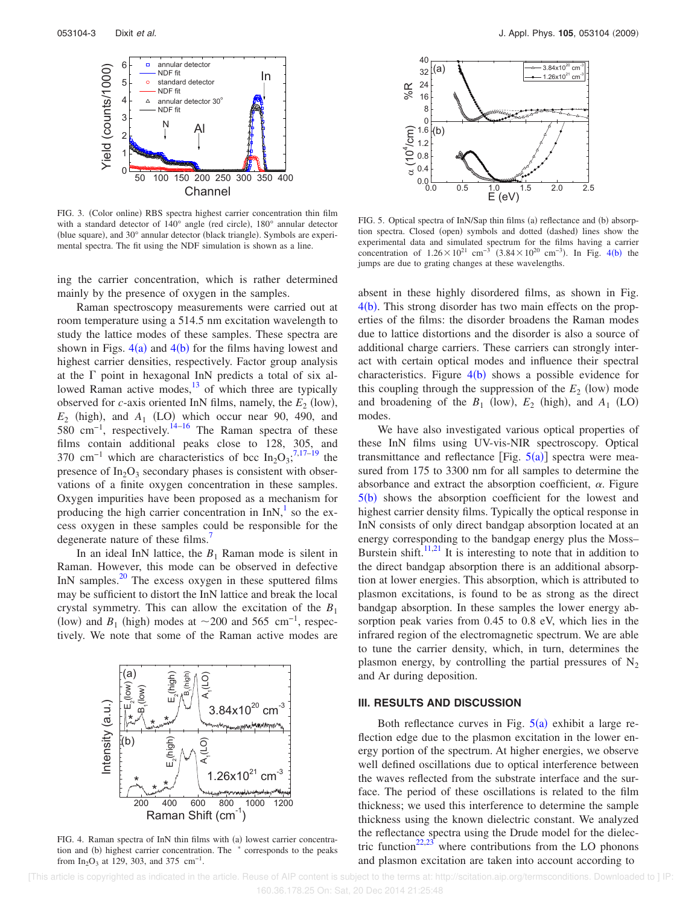

FIG. 3. (Color online) RBS spectra highest carrier concentration thin film with a standard detector of  $140^{\circ}$  angle (red circle),  $180^{\circ}$  annular detector (blue square), and 30° annular detector (black triangle). Symbols are experimental spectra. The fit using the NDF simulation is shown as a line.

ing the carrier concentration, which is rather determined mainly by the presence of oxygen in the samples.

Raman spectroscopy measurements were carried out at room temperature using a 514.5 nm excitation wavelength to study the lattice modes of these samples. These spectra are shown in Figs.  $4(a)$  and  $4(b)$  for the films having lowest and highest carrier densities, respectively. Factor group analysis at the  $\Gamma$  point in hexagonal InN predicts a total of six allowed Raman active modes, $\frac{13}{13}$  of which three are typically observed for *c*-axis oriented InN films, namely, the  $E_2$  (low),  $E_2$  (high), and  $A_1$  (LO) which occur near 90, 490, and 580 cm<sup>-1</sup>, respectively.<sup>14–16</sup> The Raman spectra of these films contain additional peaks close to 128, 305, and 370 cm<sup>-1</sup> which are characteristics of bcc In<sub>2</sub>O<sub>3</sub><sup>7,17-19</sup> the presence of  $In_2O_3$  secondary phases is consistent with observations of a finite oxygen concentration in these samples. Oxygen impurities have been proposed as a mechanism for producing the high carrier concentration in  $InN$ ,<sup>1</sup> so the excess oxygen in these samples could be responsible for the degenerate nature of these films.<sup>7</sup>

In an ideal InN lattice, the  $B_1$  Raman mode is silent in Raman. However, this mode can be observed in defective InN samples. $^{20}$  The excess oxygen in these sputtered films may be sufficient to distort the InN lattice and break the local crystal symmetry. This can allow the excitation of the  $B_1$ (low) and  $B_1$  (high) modes at ~200 and 565 cm<sup>-1</sup>, respectively. We note that some of the Raman active modes are



FIG. 4. Raman spectra of InN thin films with (a) lowest carrier concentration and (b) highest carrier concentration. The  $*$  corresponds to the peaks from  $In_2O_3$  at 129, 303, and 375 cm<sup>-1</sup>.



FIG. 5. Optical spectra of InN/Sap thin films (a) reflectance and (b) absorption spectra. Closed (open) symbols and dotted (dashed) lines show the experimental data and simulated spectrum for the films having a carrier concentration of  $1.26 \times 10^{21}$  cm<sup>-3</sup>  $(3.84 \times 10^{20}$  cm<sup>-3</sup>). In Fig. 4(b) the jumps are due to grating changes at these wavelengths.

absent in these highly disordered films, as shown in Fig.  $4(b)$ . This strong disorder has two main effects on the properties of the films: the disorder broadens the Raman modes due to lattice distortions and the disorder is also a source of additional charge carriers. These carriers can strongly interact with certain optical modes and influence their spectral characteristics. Figure  $4(b)$  shows a possible evidence for this coupling through the suppression of the  $E_2$  (low) mode and broadening of the  $B_1$  (low),  $E_2$  (high), and  $A_1$  (LO) modes.

We have also investigated various optical properties of these InN films using UV-vis-NIR spectroscopy. Optical transmittance and reflectance [Fig.  $5(a)$ ] spectra were measured from 175 to 3300 nm for all samples to determine the absorbance and extract the absorption coefficient,  $\alpha$ . Figure  $5(b)$  shows the absorption coefficient for the lowest and highest carrier density films. Typically the optical response in InN consists of only direct bandgap absorption located at an energy corresponding to the bandgap energy plus the Moss– Burstein shift.<sup>11,21</sup> It is interesting to note that in addition to the direct bandgap absorption there is an additional absorption at lower energies. This absorption, which is attributed to plasmon excitations, is found to be as strong as the direct bandgap absorption. In these samples the lower energy absorption peak varies from 0.45 to 0.8 eV, which lies in the infrared region of the electromagnetic spectrum. We are able to tune the carrier density, which, in turn, determines the plasmon energy, by controlling the partial pressures of  $N_2$ and Ar during deposition.

### **III. RESULTS AND DISCUSSION**

Both reflectance curves in Fig.  $5(a)$  exhibit a large reflection edge due to the plasmon excitation in the lower energy portion of the spectrum. At higher energies, we observe well defined oscillations due to optical interference between the waves reflected from the substrate interface and the surface. The period of these oscillations is related to the film thickness; we used this interference to determine the sample thickness using the known dielectric constant. We analyzed the reflectance spectra using the Drude model for the dielectric function<sup>22,23</sup> where contributions from the LO phonons and plasmon excitation are taken into account according to

 [This article is copyrighted as indicated in the article. Reuse of AIP content is subject to the terms at: http://scitation.aip.org/termsconditions. Downloaded to ] IP: 160.36.178.25 On: Sat, 20 Dec 2014 21:25:48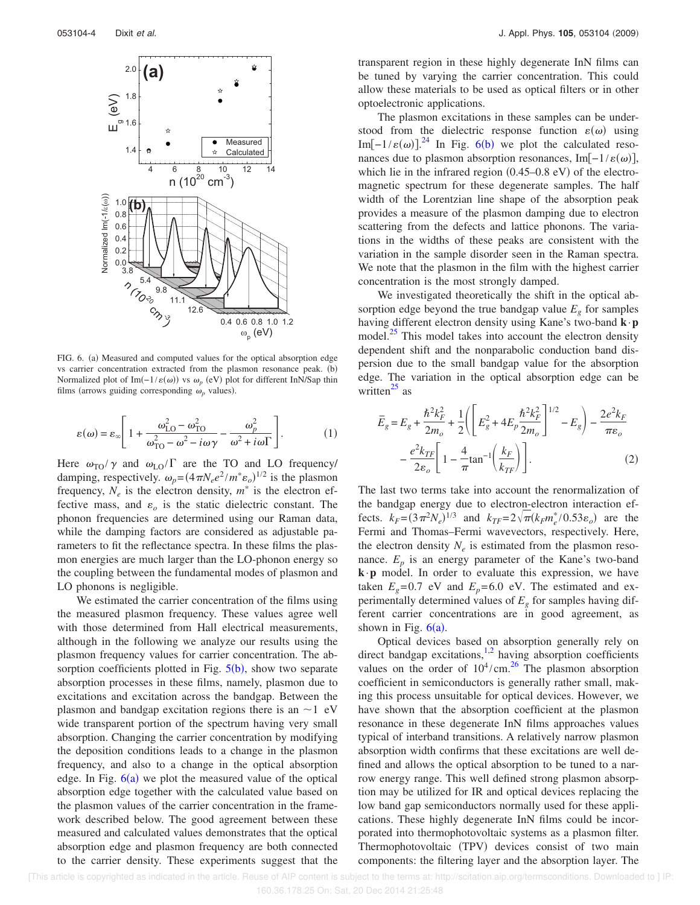

FIG. 6. (a) Measured and computed values for the optical absorption edge vs carrier concentration extracted from the plasmon resonance peak.  $(b)$ Normalized plot of Im( $-1/\varepsilon(ω)$ ) vs  $ω<sub>p</sub>$  (eV) plot for different InN/Sap thin films (arrows guiding corresponding  $\omega_p$  values).

$$
\varepsilon(\omega) = \varepsilon_{\infty} \left[ 1 + \frac{\omega_{\text{LO}}^2 - \omega_{\text{TO}}^2}{\omega_{\text{TO}}^2 - \omega^2 - i\omega\gamma} - \frac{\omega_p^2}{\omega^2 + i\omega\Gamma} \right].
$$
 (1)

Here  $\omega_{\text{TO}}/\gamma$  and  $\omega_{\text{LO}}/\Gamma$  are the TO and LO frequency/ damping, respectively.  $\omega_p = (4 \pi N_e e^2 / m^* \varepsilon_o)^{1/2}$  is the plasmon frequency,  $N_e$  is the electron density,  $m^*$  is the electron effective mass, and  $\varepsilon_o$  is the static dielectric constant. The phonon frequencies are determined using our Raman data, while the damping factors are considered as adjustable parameters to fit the reflectance spectra. In these films the plasmon energies are much larger than the LO-phonon energy so the coupling between the fundamental modes of plasmon and LO phonons is negligible.

We estimated the carrier concentration of the films using the measured plasmon frequency. These values agree well with those determined from Hall electrical measurements, although in the following we analyze our results using the plasmon frequency values for carrier concentration. The absorption coefficients plotted in Fig.  $5(b)$ , show two separate absorption processes in these films, namely, plasmon due to excitations and excitation across the bandgap. Between the plasmon and bandgap excitation regions there is an  $\sim$ 1 eV wide transparent portion of the spectrum having very small absorption. Changing the carrier concentration by modifying the deposition conditions leads to a change in the plasmon frequency, and also to a change in the optical absorption edge. In Fig.  $6(a)$  we plot the measured value of the optical absorption edge together with the calculated value based on the plasmon values of the carrier concentration in the framework described below. The good agreement between these measured and calculated values demonstrates that the optical absorption edge and plasmon frequency are both connected to the carrier density. These experiments suggest that the transparent region in these highly degenerate InN films can be tuned by varying the carrier concentration. This could allow these materials to be used as optical filters or in other optoelectronic applications.

The plasmon excitations in these samples can be understood from the dielectric response function  $\varepsilon(\omega)$  using Im[-1/ $\varepsilon(\omega)$ ].<sup>24</sup> In Fig. 6(b) we plot the calculated resonances due to plasmon absorption resonances, Im[ $-1/\varepsilon(\omega)$ ], which lie in the infrared region  $(0.45-0.8 \text{ eV})$  of the electromagnetic spectrum for these degenerate samples. The half width of the Lorentzian line shape of the absorption peak provides a measure of the plasmon damping due to electron scattering from the defects and lattice phonons. The variations in the widths of these peaks are consistent with the variation in the sample disorder seen in the Raman spectra. We note that the plasmon in the film with the highest carrier concentration is the most strongly damped.

We investigated theoretically the shift in the optical absorption edge beyond the true bandgap value  $E<sub>g</sub>$  for samples having different electron density using Kane's two-band **k**·**p** model.<sup>25</sup> This model takes into account the electron density dependent shift and the nonparabolic conduction band dispersion due to the small bandgap value for the absorption edge. The variation in the optical absorption edge can be written $^{25}$  as

$$
\bar{E}_g = E_g + \frac{\hbar^2 k_F^2}{2m_o} + \frac{1}{2} \left( \left[ E_g^2 + 4E_p \frac{\hbar^2 k_F^2}{2m_o} \right]^{1/2} - E_g \right) - \frac{2e^2 k_F}{\pi \varepsilon_o}
$$

$$
- \frac{e^2 k_{TF}}{2\varepsilon_o} \left[ 1 - \frac{4}{\pi} \tan^{-1} \left( \frac{k_F}{k_{TF}} \right) \right].
$$
(2)

The last two terms take into account the renormalization of the bandgap energy due to electron-electron interaction effects.  $k_F = (3\pi^2 N_e)^{1/3}$  and  $k_{TF} = 2\sqrt{\pi}(k_F m_e^*/0.53\varepsilon_o)$  are the Fermi and Thomas–Fermi wavevectors, respectively. Here, the electron density  $N_e$  is estimated from the plasmon resonance.  $E_p$  is an energy parameter of the Kane's two-band **k**·**p** model. In order to evaluate this expression, we have taken  $E<sub>g</sub>=0.7$  eV and  $E<sub>p</sub>=6.0$  eV. The estimated and experimentally determined values of  $E<sub>g</sub>$  for samples having different carrier concentrations are in good agreement, as shown in Fig.  $6(a)$ .

Optical devices based on absorption generally rely on direct bandgap excitations,<sup>1,2</sup> having absorption coefficients values on the order of  $10^4$ /cm.<sup>26</sup> The plasmon absorption coefficient in semiconductors is generally rather small, making this process unsuitable for optical devices. However, we have shown that the absorption coefficient at the plasmon resonance in these degenerate InN films approaches values typical of interband transitions. A relatively narrow plasmon absorption width confirms that these excitations are well defined and allows the optical absorption to be tuned to a narrow energy range. This well defined strong plasmon absorption may be utilized for IR and optical devices replacing the low band gap semiconductors normally used for these applications. These highly degenerate InN films could be incorporated into thermophotovoltaic systems as a plasmon filter. Thermophotovoltaic (TPV) devices consist of two main components: the filtering layer and the absorption layer. The